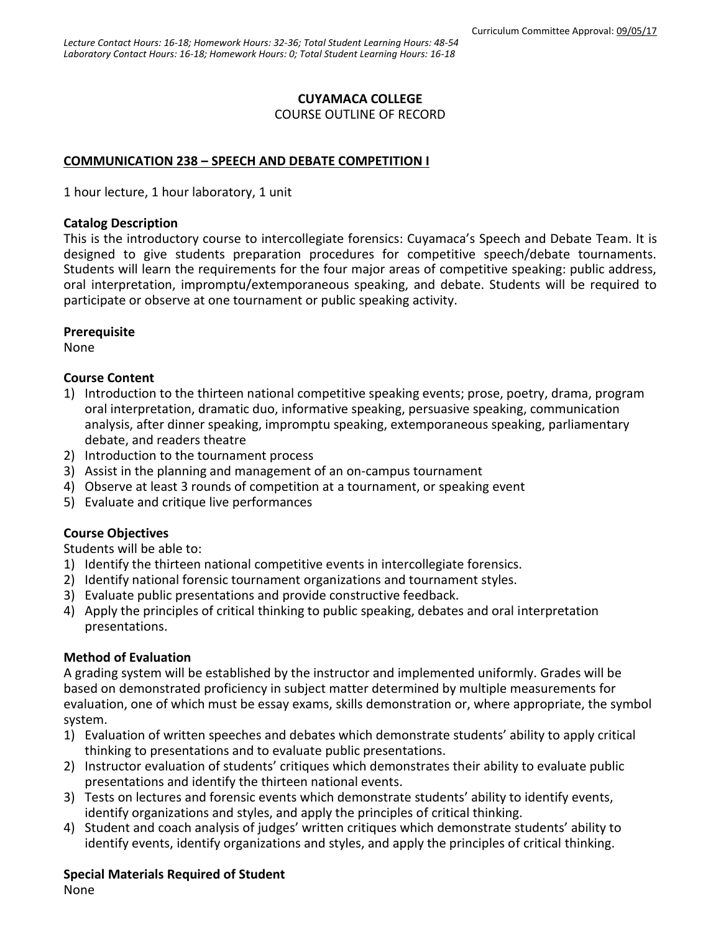#### **CUYAMACA COLLEGE**

COURSE OUTLINE OF RECORD

### **COMMUNICATION 238 – SPEECH AND DEBATE COMPETITION I**

1 hour lecture, 1 hour laboratory, 1 unit

#### **Catalog Description**

This is the introductory course to intercollegiate forensics: Cuyamaca's Speech and Debate Team. It is designed to give students preparation procedures for competitive speech/debate tournaments. Students will learn the requirements for the four major areas of competitive speaking: public address, oral interpretation, impromptu/extemporaneous speaking, and debate. Students will be required to participate or observe at one tournament or public speaking activity.

### **Prerequisite**

None

### **Course Content**

- 1) Introduction to the thirteen national competitive speaking events; prose, poetry, drama, program oral interpretation, dramatic duo, informative speaking, persuasive speaking, communication analysis, after dinner speaking, impromptu speaking, extemporaneous speaking, parliamentary debate, and readers theatre
- 2) Introduction to the tournament process
- 3) Assist in the planning and management of an on-campus tournament
- 4) Observe at least 3 rounds of competition at a tournament, or speaking event
- 5) Evaluate and critique live performances

### **Course Objectives**

Students will be able to:

- 1) Identify the thirteen national competitive events in intercollegiate forensics.
- 2) Identify national forensic tournament organizations and tournament styles.
- 3) Evaluate public presentations and provide constructive feedback.
- 4) Apply the principles of critical thinking to public speaking, debates and oral interpretation presentations.

### **Method of Evaluation**

A grading system will be established by the instructor and implemented uniformly. Grades will be based on demonstrated proficiency in subject matter determined by multiple measurements for evaluation, one of which must be essay exams, skills demonstration or, where appropriate, the symbol system.

- 1) Evaluation of written speeches and debates which demonstrate students' ability to apply critical thinking to presentations and to evaluate public presentations.
- 2) Instructor evaluation of students' critiques which demonstrates their ability to evaluate public presentations and identify the thirteen national events.
- 3) Tests on lectures and forensic events which demonstrate students' ability to identify events, identify organizations and styles, and apply the principles of critical thinking.
- 4) Student and coach analysis of judges' written critiques which demonstrate students' ability to identify events, identify organizations and styles, and apply the principles of critical thinking.

### **Special Materials Required of Student**

None